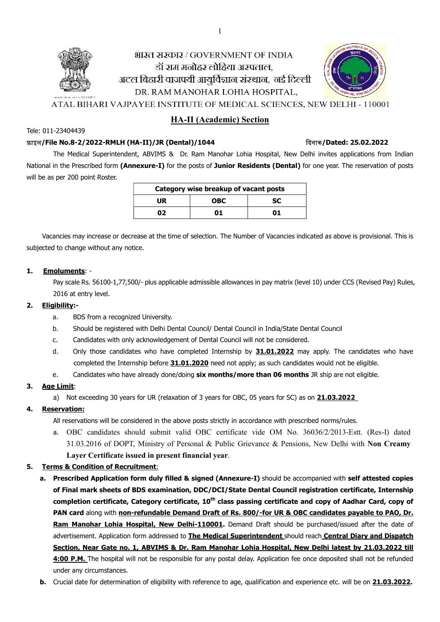

Tele: 011-23404439

# HA-II (Academic) Section

### फ़ाइल/File No.8-2/2022-RMLH (HA-II)/JR (Dental)/1044 ᳰदनाक/Dated: 25.02.2022

The Medical Superintendent, ABVIMS & Dr. Ram Manohar Lohia Hospital, New Delhi invites applications from Indian National in the Prescribed form (Annexure-I) for the posts of Junior Residents (Dental) for one year. The reservation of posts will be as per 200 point Roster.

| Category wise breakup of vacant posts |           |    |  |  |
|---------------------------------------|-----------|----|--|--|
| <b>UR</b>                             | <b>SC</b> |    |  |  |
| 02                                    | 01        | 01 |  |  |

Vacancies may increase or decrease at the time of selection. The Number of Vacancies indicated as above is provisional. This is subjected to change without any notice.

### 1. Emoluments: -

Pay scale Rs. 56100-1,77,500/- plus applicable admissible allowances in pay matrix (level 10) under CCS (Revised Pay) Rules, 2016 at entry level.

# 2. Eligibility:-

- a. BDS from a recognized University.
- b. Should be registered with Delhi Dental Council/ Dental Council in India/State Dental Council
- c. Candidates with only acknowledgement of Dental Council will not be considered.
- d. Only those candidates who have completed Internship by 31.01.2022 may apply. The candidates who have completed the Internship before 31.01.2020 need not apply; as such candidates would not be eligible.
- e. Candidates who have already done/doing six months/more than 06 months JR ship are not eligible.

# 3. Age Limit:

a) Not exceeding 30 years for UR (relaxation of 3 years for OBC, 05 years for SC) as on **21.03.2022** 

# 4. Reservation:

All reservations will be considered in the above posts strictly in accordance with prescribed norms/rules.

a. OBC candidates should submit valid OBC certificate vide OM No. 36036/2/2013-Estt. (Res-I) dated 31.03.2016 of DOPT, Ministry of Personal & Public Grievance & Pensions, New Delhi with Non Creamy Layer Certificate issued in present financial year.

# 5. Terms & Condition of Recruitment:

- a. Prescribed Application form duly filled & signed (Annexure-I) should be accompanied with self attested copies of Final mark sheets of BDS examination, DDC/DCI/State Dental Council registration certificate, Internship completion certificate, Category certificate, 10<sup>th</sup> class passing certificate and copy of Aadhar Card, copy of PAN card along with non-refundable Demand Draft of Rs. 800/-for UR & OBC candidates payable to PAO, Dr. Ram Manohar Lohia Hospital, New Delhi-110001. Demand Draft should be purchased/issued after the date of advertisement. Application form addressed to The Medical Superintendent should reach Central Diary and Dispatch Section, Near Gate no. 1, ABVIMS & Dr. Ram Manohar Lohia Hospital, New Delhi latest by 21.03.2022 till 4:00 P.M. The hospital will not be responsible for any postal delay. Application fee once deposited shall not be refunded under any circumstances.
- b. Crucial date for determination of eligibility with reference to age, qualification and experience etc. will be on 21.03.2022.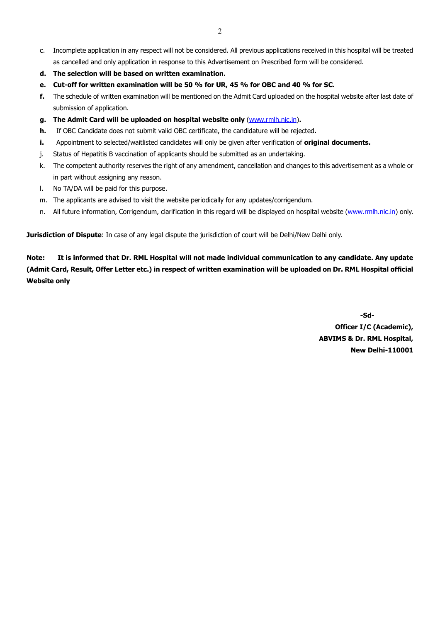- c. Incomplete application in any respect will not be considered. All previous applications received in this hospital will be treated as cancelled and only application in response to this Advertisement on Prescribed form will be considered.
- d. The selection will be based on written examination.
- e. Cut-off for written examination will be 50 % for UR, 45 % for OBC and 40 % for SC.
- f. The schedule of written examination will be mentioned on the Admit Card uploaded on the hospital website after last date of submission of application.
- g. The Admit Card will be uploaded on hospital website only (www.rmlh.nic.in).
- h. If OBC Candidate does not submit valid OBC certificate, the candidature will be rejected.
- i. Appointment to selected/waitlisted candidates will only be given after verification of original documents.
- j. Status of Hepatitis B vaccination of applicants should be submitted as an undertaking.
- k. The competent authority reserves the right of any amendment, cancellation and changes to this advertisement as a whole or in part without assigning any reason.
- l. No TA/DA will be paid for this purpose.
- m. The applicants are advised to visit the website periodically for any updates/corrigendum.
- n. All future information, Corrigendum, clarification in this regard will be displayed on hospital website (www.rmlh.nic.in) only.

**Jurisdiction of Dispute**: In case of any legal dispute the jurisdiction of court will be Delhi/New Delhi only.

Note: It is informed that Dr. RML Hospital will not made individual communication to any candidate. Any update (Admit Card, Result, Offer Letter etc.) in respect of written examination will be uploaded on Dr. RML Hospital official Website only

> -Sd-Officer I/C (Academic), ABVIMS & Dr. RML Hospital, New Delhi-110001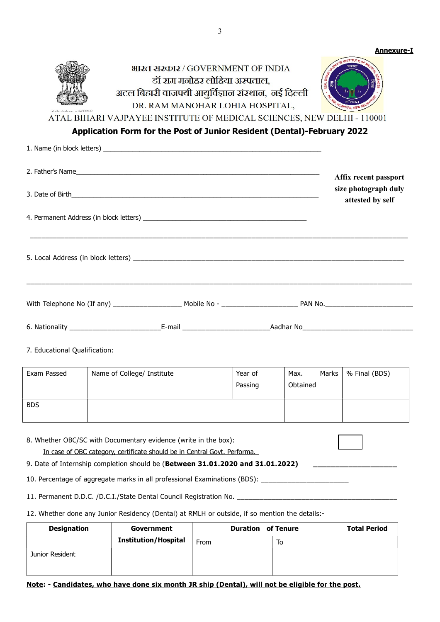| shutterstock.com = 552122832 | भारत सरकार / GOVERNMENT OF INDIA<br>डॉ राम मनोहर लोहिया अस्पताल,<br>अटल बिहारी वाजपयी आयुर्विज्ञान संस्थान, नई दिल्ली<br>DR. RAM MANOHAR LOHIA HOSPITAL, |  |
|------------------------------|----------------------------------------------------------------------------------------------------------------------------------------------------------|--|
|                              | A IDA VEE INCTITUTE AE MEINIAL CAIENIA                                                                                                                   |  |

ATAL BIHARI VAJPAYEE INSTITUTE OF MEDICAL SCIENCES, NEW DELHI - 110001

# Application Form for the Post of Junior Resident (Dental)-February 2022

|                                                                                   |  | Affix recent passport                    |
|-----------------------------------------------------------------------------------|--|------------------------------------------|
|                                                                                   |  | size photograph duly<br>attested by self |
| ,我们也不能会在这里,我们也不能会在这里,我们也不能会在这里,我们也不能会在这里,我们也不能会在这里,我们也不能会在这里,我们也不能会不能会不能会。""我们,我们 |  |                                          |
|                                                                                   |  |                                          |
|                                                                                   |  |                                          |
|                                                                                   |  |                                          |

7. Educational Qualification:

| Exam Passed | Name of College/ Institute | Year of<br>Passing | Marks<br>Max.<br>Obtained | % Final (BDS) |
|-------------|----------------------------|--------------------|---------------------------|---------------|
| <b>BDS</b>  |                            |                    |                           |               |

8. Whether OBC/SC with Documentary evidence (write in the box):

In case of OBC category, certificate should be in Central Govt. Performa.

9. Date of Internship completion should be (Between 31.01.2020 and 31.01.2022)

10. Percentage of aggregate marks in all professional Examinations (BDS): \_\_\_\_\_\_

11. Permanent D.D.C. /D.C.I./State Dental Council Registration No. \_\_\_\_\_

12. Whether done any Junior Residency (Dental) at RMLH or outside, if so mention the details:-

| <b>Designation</b> | Government                  | <b>Duration of Tenure</b> |    | <b>Total Period</b> |
|--------------------|-----------------------------|---------------------------|----|---------------------|
|                    | <b>Institution/Hospital</b> | From                      | To |                     |
| Junior Resident    |                             |                           |    |                     |

# Note: - Candidates, who have done six month JR ship (Dental), will not be eligible for the post.

Annexure-I